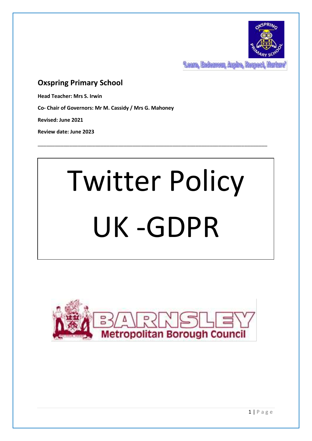

**Team, Endemont, Aspire, Respect** 

# **Oxspring Primary School**

**Head Teacher: Mrs S. Irwin**

**Co- Chair of Governors: Mr M. Cassidy / Mrs G. Mahoney**

**Revised: June 2021**

**Review date: June 2023**

# Twitter Policy UK -GDPR

\_\_\_\_\_\_\_\_\_\_\_\_\_\_\_\_\_\_\_\_\_\_\_\_\_\_\_\_\_\_\_\_\_\_\_\_\_\_\_\_\_\_\_\_\_\_\_\_\_\_\_\_\_\_\_\_\_\_\_\_\_\_\_\_\_\_\_\_\_\_\_\_\_\_\_\_\_\_\_\_

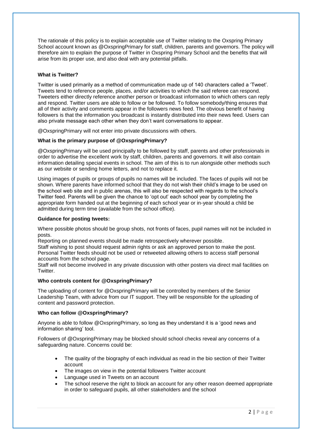The rationale of this policy is to explain acceptable use of Twitter relating to the Oxspring Primary School account known as @OxspringPrimary for staff, children, parents and governors. The policy will therefore aim to explain the purpose of Twitter in Oxspring Primary School and the benefits that will arise from its proper use, and also deal with any potential pitfalls.

### **What is Twitter?**

Twitter is used primarily as a method of communication made up of 140 characters called a 'Tweet'. Tweets tend to reference people, places, and/or activities to which the said referee can respond. Tweeters either directly reference another person or broadcast information to which others can reply and respond. Twitter users are able to follow or be followed. To follow somebody/thing ensures that all of their activity and comments appear in the followers news feed. The obvious benefit of having followers is that the information you broadcast is instantly distributed into their news feed. Users can also private message each other when they don't want conversations to appear.

@OxspringPrimary will not enter into private discussions with others.

#### **What is the primary purpose of @OxspringPrimary?**

@OxspringPrimary will be used principally to be followed by staff, parents and other professionals in order to advertise the excellent work by staff, children, parents and governors. It will also contain information detailing special events in school. The aim of this is to run alongside other methods such as our website or sending home letters, and not to replace it.

Using images of pupils or groups of pupils no names will be included. The faces of pupils will not be shown. Where parents have informed school that they do not wish their child's image to be used on the school web site and in public arenas, this will also be respected with regards to the school's Twitter feed. Parents will be given the chance to 'opt out' each school year by completing the appropriate form handed out at the beginning of each school year or in-year should a child be admitted during term time (available from the school office).

#### **Guidance for posting tweets:**

Where possible photos should be group shots, not fronts of faces, pupil names will not be included in posts.

Reporting on planned events should be made retrospectively wherever possible.

Staff wishing to post should request admin rights or ask an approved person to make the post. Personal Twitter feeds should not be used or retweeted allowing others to access staff personal accounts from the school page.

Staff will not become involved in any private discussion with other posters via direct mail facilities on Twitter.

#### **Who controls content for @OxspringPrimary?**

The uploading of content for @OxspringPrimary will be controlled by members of the Senior Leadership Team, with advice from our IT support. They will be responsible for the uploading of content and password protection.

#### **Who can follow @OxspringPrimary?**

Anyone is able to follow @OxspringPrimary, so long as they understand it is a 'good news and information sharing' tool.

Followers of @OxspringPrimary may be blocked should school checks reveal any concerns of a safeguarding nature. Concerns could be:

- The quality of the biography of each individual as read in the bio section of their Twitter account
- The images on view in the potential followers Twitter account
- Language used in Tweets on an account
- The school reserve the right to block an account for any other reason deemed appropriate in order to safeguard pupils, all other stakeholders and the school